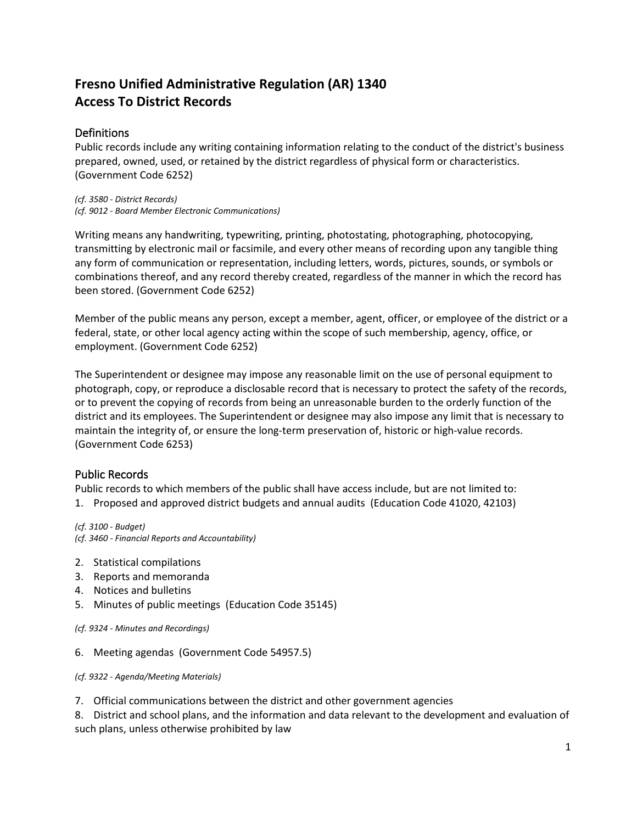# **Fresno Unified Administrative Regulation (AR) 1340 Access To District Records**

# **Definitions**

Public records include any writing containing information relating to the conduct of the district's business prepared, owned, used, or retained by the district regardless of physical form or characteristics. (Government Code 6252)

*(cf. 3580 - District Records) (cf. 9012 - Board Member Electronic Communications)*

Writing means any handwriting, typewriting, printing, photostating, photographing, photocopying, transmitting by electronic mail or facsimile, and every other means of recording upon any tangible thing any form of communication or representation, including letters, words, pictures, sounds, or symbols or combinations thereof, and any record thereby created, regardless of the manner in which the record has been stored. (Government Code 6252)

Member of the public means any person, except a member, agent, officer, or employee of the district or a federal, state, or other local agency acting within the scope of such membership, agency, office, or employment. (Government Code 6252)

The Superintendent or designee may impose any reasonable limit on the use of personal equipment to photograph, copy, or reproduce a disclosable record that is necessary to protect the safety of the records, or to prevent the copying of records from being an unreasonable burden to the orderly function of the district and its employees. The Superintendent or designee may also impose any limit that is necessary to maintain the integrity of, or ensure the long-term preservation of, historic or high-value records. (Government Code 6253)

# Public Records

Public records to which members of the public shall have access include, but are not limited to:

1. Proposed and approved district budgets and annual audits (Education Code 41020, 42103)

*(cf. 3100 - Budget) (cf. 3460 - Financial Reports and Accountability)*

- 2. Statistical compilations
- 3. Reports and memoranda
- 4. Notices and bulletins
- 5. Minutes of public meetings (Education Code 35145)

*(cf. 9324 - Minutes and Recordings)*

6. Meeting agendas (Government Code 54957.5)

*(cf. 9322 - Agenda/Meeting Materials)*

7. Official communications between the district and other government agencies

8. District and school plans, and the information and data relevant to the development and evaluation of such plans, unless otherwise prohibited by law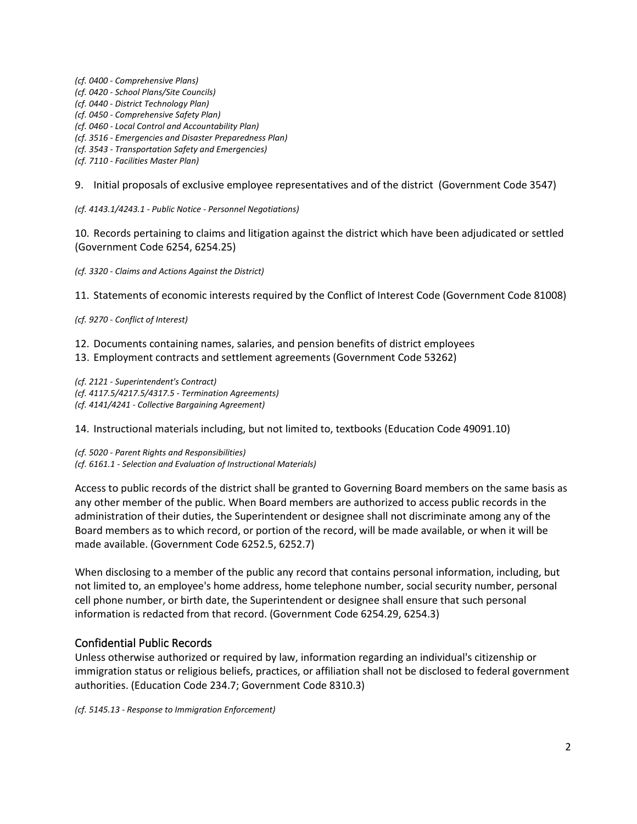*(cf. 0400 - Comprehensive Plans) (cf. 0420 - School Plans/Site Councils) (cf. 0440 - District Technology Plan) (cf. 0450 - Comprehensive Safety Plan) (cf. 0460 - Local Control and Accountability Plan) (cf. 3516 - Emergencies and Disaster Preparedness Plan) (cf. 3543 - Transportation Safety and Emergencies) (cf. 7110 - Facilities Master Plan)*

9. Initial proposals of exclusive employee representatives and of the district (Government Code 3547)

*(cf. 4143.1/4243.1 - Public Notice - Personnel Negotiations)*

10. Records pertaining to claims and litigation against the district which have been adjudicated or settled (Government Code 6254, 6254.25)

*(cf. 3320 - Claims and Actions Against the District)*

11. Statements of economic interests required by the Conflict of Interest Code (Government Code 81008)

*(cf. 9270 - Conflict of Interest)*

12. Documents containing names, salaries, and pension benefits of district employees

13. Employment contracts and settlement agreements (Government Code 53262)

*(cf. 2121 - Superintendent's Contract) (cf. 4117.5/4217.5/4317.5 - Termination Agreements) (cf. 4141/4241 - Collective Bargaining Agreement)*

14. Instructional materials including, but not limited to, textbooks (Education Code 49091.10)

*(cf. 5020 - Parent Rights and Responsibilities) (cf. 6161.1 - Selection and Evaluation of Instructional Materials)*

Access to public records of the district shall be granted to Governing Board members on the same basis as any other member of the public. When Board members are authorized to access public records in the administration of their duties, the Superintendent or designee shall not discriminate among any of the Board members as to which record, or portion of the record, will be made available, or when it will be made available. (Government Code 6252.5, 6252.7)

When disclosing to a member of the public any record that contains personal information, including, but not limited to, an employee's home address, home telephone number, social security number, personal cell phone number, or birth date, the Superintendent or designee shall ensure that such personal information is redacted from that record. (Government Code 6254.29, 6254.3)

# Confidential Public Records

Unless otherwise authorized or required by law, information regarding an individual's citizenship or immigration status or religious beliefs, practices, or affiliation shall not be disclosed to federal government authorities. (Education Code 234.7; Government Code 8310.3)

*(cf. 5145.13 - Response to Immigration Enforcement)*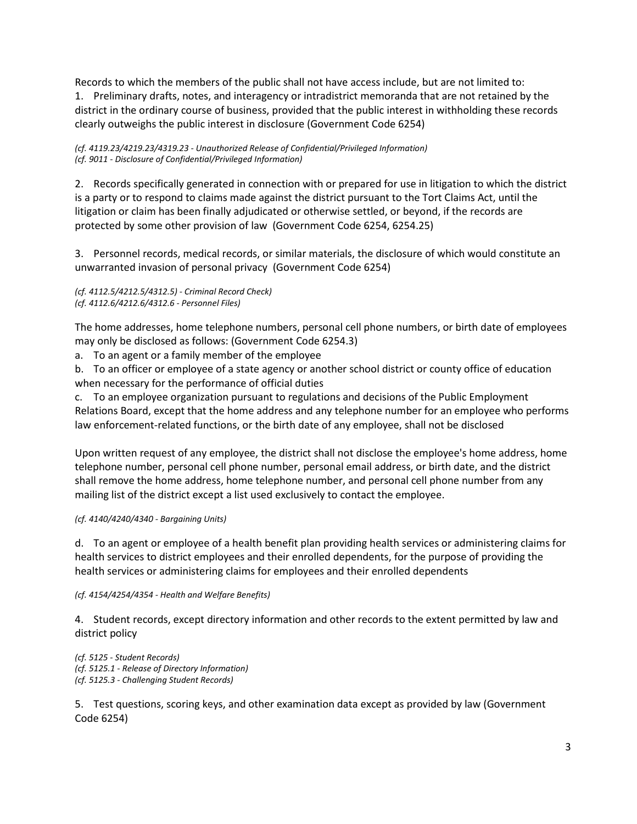Records to which the members of the public shall not have access include, but are not limited to: 1. Preliminary drafts, notes, and interagency or intradistrict memoranda that are not retained by the district in the ordinary course of business, provided that the public interest in withholding these records clearly outweighs the public interest in disclosure (Government Code 6254)

*(cf. 4119.23/4219.23/4319.23 - Unauthorized Release of Confidential/Privileged Information) (cf. 9011 - Disclosure of Confidential/Privileged Information)*

2. Records specifically generated in connection with or prepared for use in litigation to which the district is a party or to respond to claims made against the district pursuant to the Tort Claims Act, until the litigation or claim has been finally adjudicated or otherwise settled, or beyond, if the records are protected by some other provision of law (Government Code 6254, 6254.25)

3. Personnel records, medical records, or similar materials, the disclosure of which would constitute an unwarranted invasion of personal privacy (Government Code 6254)

*(cf. 4112.5/4212.5/4312.5) - Criminal Record Check) (cf. 4112.6/4212.6/4312.6 - Personnel Files)*

The home addresses, home telephone numbers, personal cell phone numbers, or birth date of employees may only be disclosed as follows: (Government Code 6254.3)

a. To an agent or a family member of the employee

b. To an officer or employee of a state agency or another school district or county office of education when necessary for the performance of official duties

c. To an employee organization pursuant to regulations and decisions of the Public Employment Relations Board, except that the home address and any telephone number for an employee who performs law enforcement-related functions, or the birth date of any employee, shall not be disclosed

Upon written request of any employee, the district shall not disclose the employee's home address, home telephone number, personal cell phone number, personal email address, or birth date, and the district shall remove the home address, home telephone number, and personal cell phone number from any mailing list of the district except a list used exclusively to contact the employee.

### *(cf. 4140/4240/4340 - Bargaining Units)*

d. To an agent or employee of a health benefit plan providing health services or administering claims for health services to district employees and their enrolled dependents, for the purpose of providing the health services or administering claims for employees and their enrolled dependents

#### *(cf. 4154/4254/4354 - Health and Welfare Benefits)*

4. Student records, except directory information and other records to the extent permitted by law and district policy

*(cf. 5125 - Student Records) (cf. 5125.1 - Release of Directory Information) (cf. 5125.3 - Challenging Student Records)*

5. Test questions, scoring keys, and other examination data except as provided by law (Government Code 6254)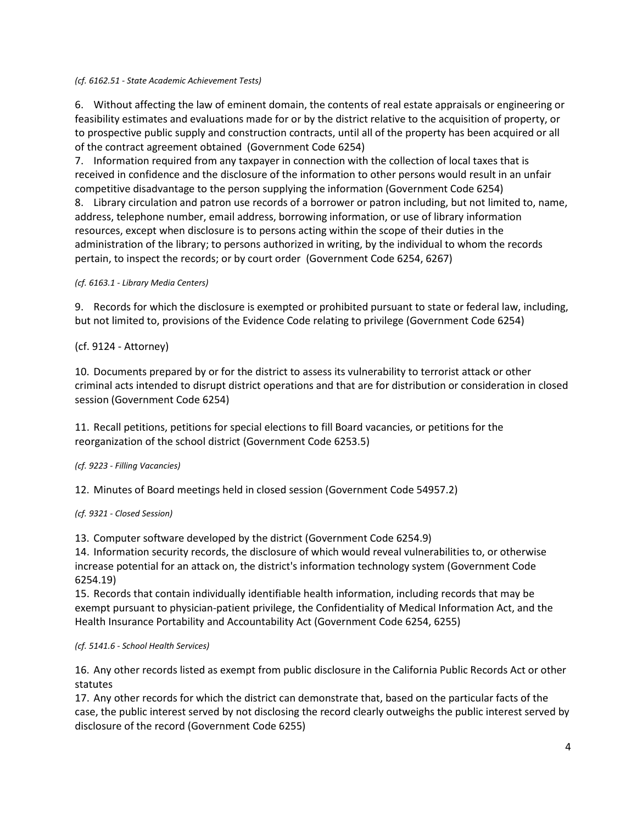#### *(cf. 6162.51 - State Academic Achievement Tests)*

6. Without affecting the law of eminent domain, the contents of real estate appraisals or engineering or feasibility estimates and evaluations made for or by the district relative to the acquisition of property, or to prospective public supply and construction contracts, until all of the property has been acquired or all of the contract agreement obtained (Government Code 6254)

7. Information required from any taxpayer in connection with the collection of local taxes that is received in confidence and the disclosure of the information to other persons would result in an unfair competitive disadvantage to the person supplying the information (Government Code 6254)

8. Library circulation and patron use records of a borrower or patron including, but not limited to, name, address, telephone number, email address, borrowing information, or use of library information resources, except when disclosure is to persons acting within the scope of their duties in the administration of the library; to persons authorized in writing, by the individual to whom the records pertain, to inspect the records; or by court order (Government Code 6254, 6267)

*(cf. 6163.1 - Library Media Centers)*

9. Records for which the disclosure is exempted or prohibited pursuant to state or federal law, including, but not limited to, provisions of the Evidence Code relating to privilege (Government Code 6254)

### (cf. 9124 - Attorney)

10. Documents prepared by or for the district to assess its vulnerability to terrorist attack or other criminal acts intended to disrupt district operations and that are for distribution or consideration in closed session (Government Code 6254)

11. Recall petitions, petitions for special elections to fill Board vacancies, or petitions for the reorganization of the school district (Government Code 6253.5)

## *(cf. 9223 - Filling Vacancies)*

12. Minutes of Board meetings held in closed session (Government Code 54957.2)

*(cf. 9321 - Closed Session)*

13. Computer software developed by the district (Government Code 6254.9)

14. Information security records, the disclosure of which would reveal vulnerabilities to, or otherwise increase potential for an attack on, the district's information technology system (Government Code 6254.19)

15. Records that contain individually identifiable health information, including records that may be exempt pursuant to physician-patient privilege, the Confidentiality of Medical Information Act, and the Health Insurance Portability and Accountability Act (Government Code 6254, 6255)

### *(cf. 5141.6 - School Health Services)*

16. Any other records listed as exempt from public disclosure in the California Public Records Act or other statutes

17. Any other records for which the district can demonstrate that, based on the particular facts of the case, the public interest served by not disclosing the record clearly outweighs the public interest served by disclosure of the record (Government Code 6255)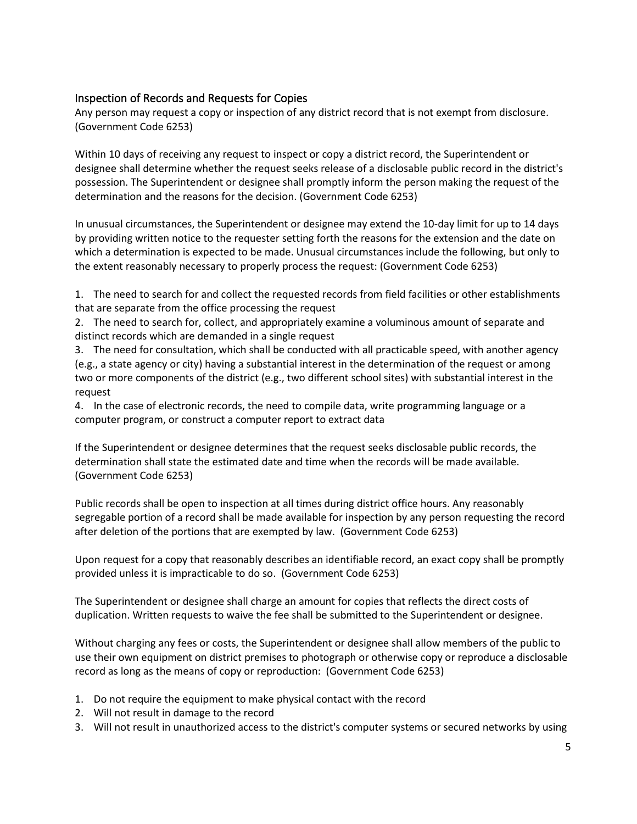# Inspection of Records and Requests for Copies

Any person may request a copy or inspection of any district record that is not exempt from disclosure. (Government Code 6253)

Within 10 days of receiving any request to inspect or copy a district record, the Superintendent or designee shall determine whether the request seeks release of a disclosable public record in the district's possession. The Superintendent or designee shall promptly inform the person making the request of the determination and the reasons for the decision. (Government Code 6253)

In unusual circumstances, the Superintendent or designee may extend the 10-day limit for up to 14 days by providing written notice to the requester setting forth the reasons for the extension and the date on which a determination is expected to be made. Unusual circumstances include the following, but only to the extent reasonably necessary to properly process the request: (Government Code 6253)

1. The need to search for and collect the requested records from field facilities or other establishments that are separate from the office processing the request

2. The need to search for, collect, and appropriately examine a voluminous amount of separate and distinct records which are demanded in a single request

3. The need for consultation, which shall be conducted with all practicable speed, with another agency (e.g., a state agency or city) having a substantial interest in the determination of the request or among two or more components of the district (e.g., two different school sites) with substantial interest in the request

4. In the case of electronic records, the need to compile data, write programming language or a computer program, or construct a computer report to extract data

If the Superintendent or designee determines that the request seeks disclosable public records, the determination shall state the estimated date and time when the records will be made available. (Government Code 6253)

Public records shall be open to inspection at all times during district office hours. Any reasonably segregable portion of a record shall be made available for inspection by any person requesting the record after deletion of the portions that are exempted by law. (Government Code 6253)

Upon request for a copy that reasonably describes an identifiable record, an exact copy shall be promptly provided unless it is impracticable to do so. (Government Code 6253)

The Superintendent or designee shall charge an amount for copies that reflects the direct costs of duplication. Written requests to waive the fee shall be submitted to the Superintendent or designee.

Without charging any fees or costs, the Superintendent or designee shall allow members of the public to use their own equipment on district premises to photograph or otherwise copy or reproduce a disclosable record as long as the means of copy or reproduction: (Government Code 6253)

- 1. Do not require the equipment to make physical contact with the record
- 2. Will not result in damage to the record
- 3. Will not result in unauthorized access to the district's computer systems or secured networks by using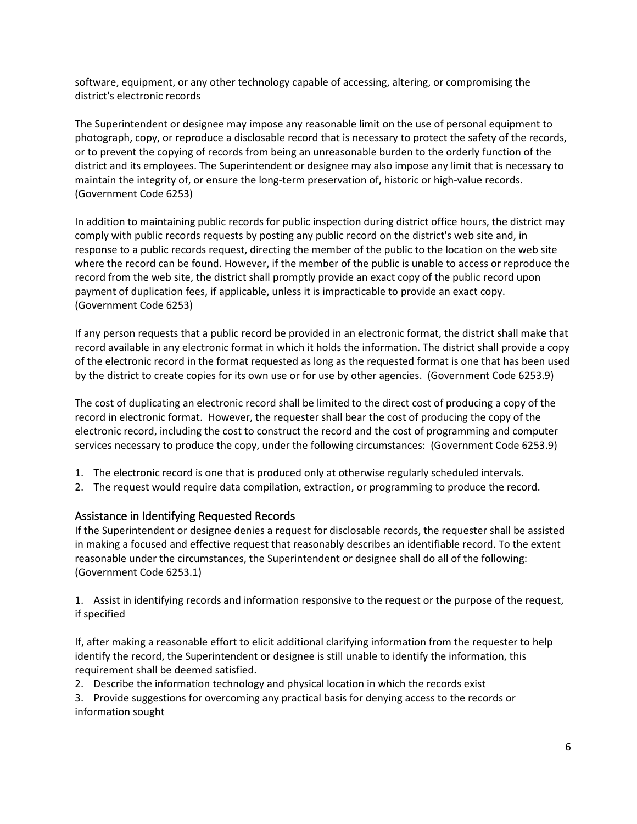software, equipment, or any other technology capable of accessing, altering, or compromising the district's electronic records

The Superintendent or designee may impose any reasonable limit on the use of personal equipment to photograph, copy, or reproduce a disclosable record that is necessary to protect the safety of the records, or to prevent the copying of records from being an unreasonable burden to the orderly function of the district and its employees. The Superintendent or designee may also impose any limit that is necessary to maintain the integrity of, or ensure the long-term preservation of, historic or high-value records. (Government Code 6253)

In addition to maintaining public records for public inspection during district office hours, the district may comply with public records requests by posting any public record on the district's web site and, in response to a public records request, directing the member of the public to the location on the web site where the record can be found. However, if the member of the public is unable to access or reproduce the record from the web site, the district shall promptly provide an exact copy of the public record upon payment of duplication fees, if applicable, unless it is impracticable to provide an exact copy. (Government Code 6253)

If any person requests that a public record be provided in an electronic format, the district shall make that record available in any electronic format in which it holds the information. The district shall provide a copy of the electronic record in the format requested as long as the requested format is one that has been used by the district to create copies for its own use or for use by other agencies. (Government Code 6253.9)

The cost of duplicating an electronic record shall be limited to the direct cost of producing a copy of the record in electronic format. However, the requester shall bear the cost of producing the copy of the electronic record, including the cost to construct the record and the cost of programming and computer services necessary to produce the copy, under the following circumstances: (Government Code 6253.9)

- 1. The electronic record is one that is produced only at otherwise regularly scheduled intervals.
- 2. The request would require data compilation, extraction, or programming to produce the record.

## Assistance in Identifying Requested Records

If the Superintendent or designee denies a request for disclosable records, the requester shall be assisted in making a focused and effective request that reasonably describes an identifiable record. To the extent reasonable under the circumstances, the Superintendent or designee shall do all of the following: (Government Code 6253.1)

1. Assist in identifying records and information responsive to the request or the purpose of the request, if specified

If, after making a reasonable effort to elicit additional clarifying information from the requester to help identify the record, the Superintendent or designee is still unable to identify the information, this requirement shall be deemed satisfied.

2. Describe the information technology and physical location in which the records exist

3. Provide suggestions for overcoming any practical basis for denying access to the records or information sought